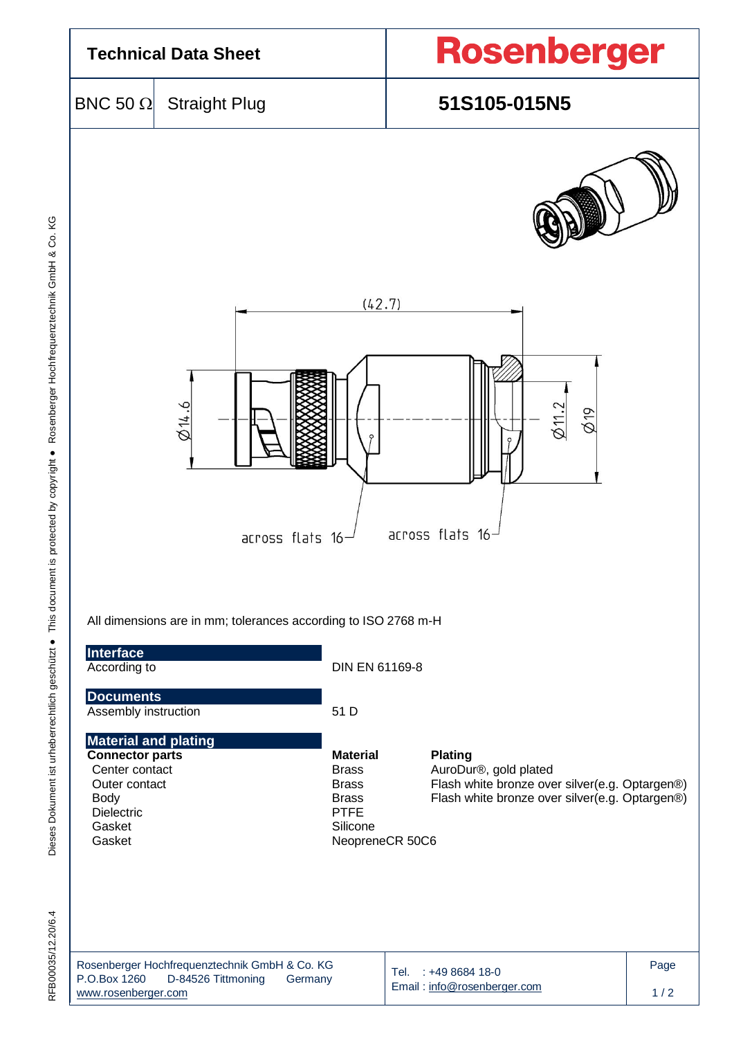